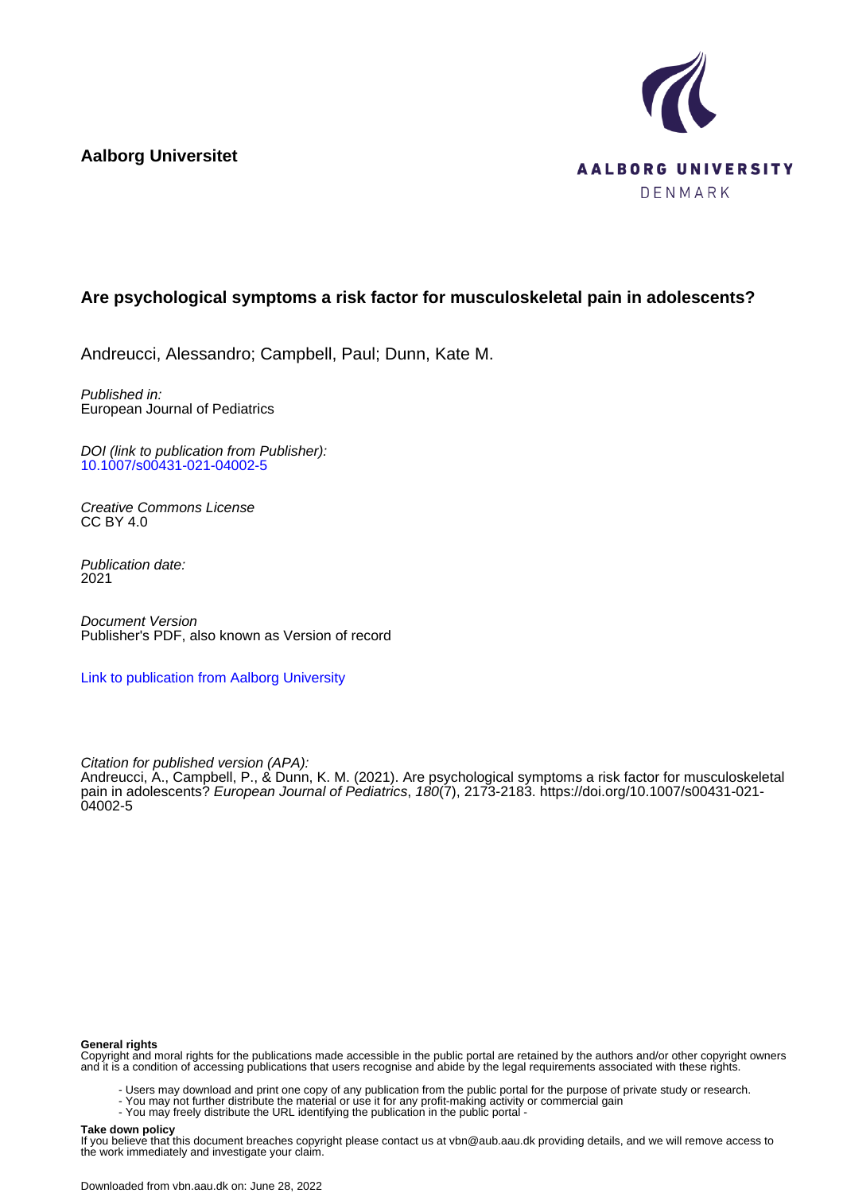**Aalborg Universitet**



# **Are psychological symptoms a risk factor for musculoskeletal pain in adolescents?**

Andreucci, Alessandro; Campbell, Paul; Dunn, Kate M.

Published in: European Journal of Pediatrics

DOI (link to publication from Publisher): [10.1007/s00431-021-04002-5](https://doi.org/10.1007/s00431-021-04002-5)

Creative Commons License  $CC$  BY  $4.0$ 

Publication date: 2021

Document Version Publisher's PDF, also known as Version of record

[Link to publication from Aalborg University](https://vbn.aau.dk/en/publications/e5c4eabc-66a9-444d-a4f5-2c40f0d975f9)

Citation for published version (APA):

Andreucci, A., Campbell, P., & Dunn, K. M. (2021). Are psychological symptoms a risk factor for musculoskeletal pain in adolescents? European Journal of Pediatrics, 180(7), 2173-2183. [https://doi.org/10.1007/s00431-021-](https://doi.org/10.1007/s00431-021-04002-5) [04002-5](https://doi.org/10.1007/s00431-021-04002-5)

### **General rights**

Copyright and moral rights for the publications made accessible in the public portal are retained by the authors and/or other copyright owners and it is a condition of accessing publications that users recognise and abide by the legal requirements associated with these rights.

- Users may download and print one copy of any publication from the public portal for the purpose of private study or research.
- You may not further distribute the material or use it for any profit-making activity or commercial gain
	- You may freely distribute the URL identifying the publication in the public portal -

#### **Take down policy**

If you believe that this document breaches copyright please contact us at vbn@aub.aau.dk providing details, and we will remove access to the work immediately and investigate your claim.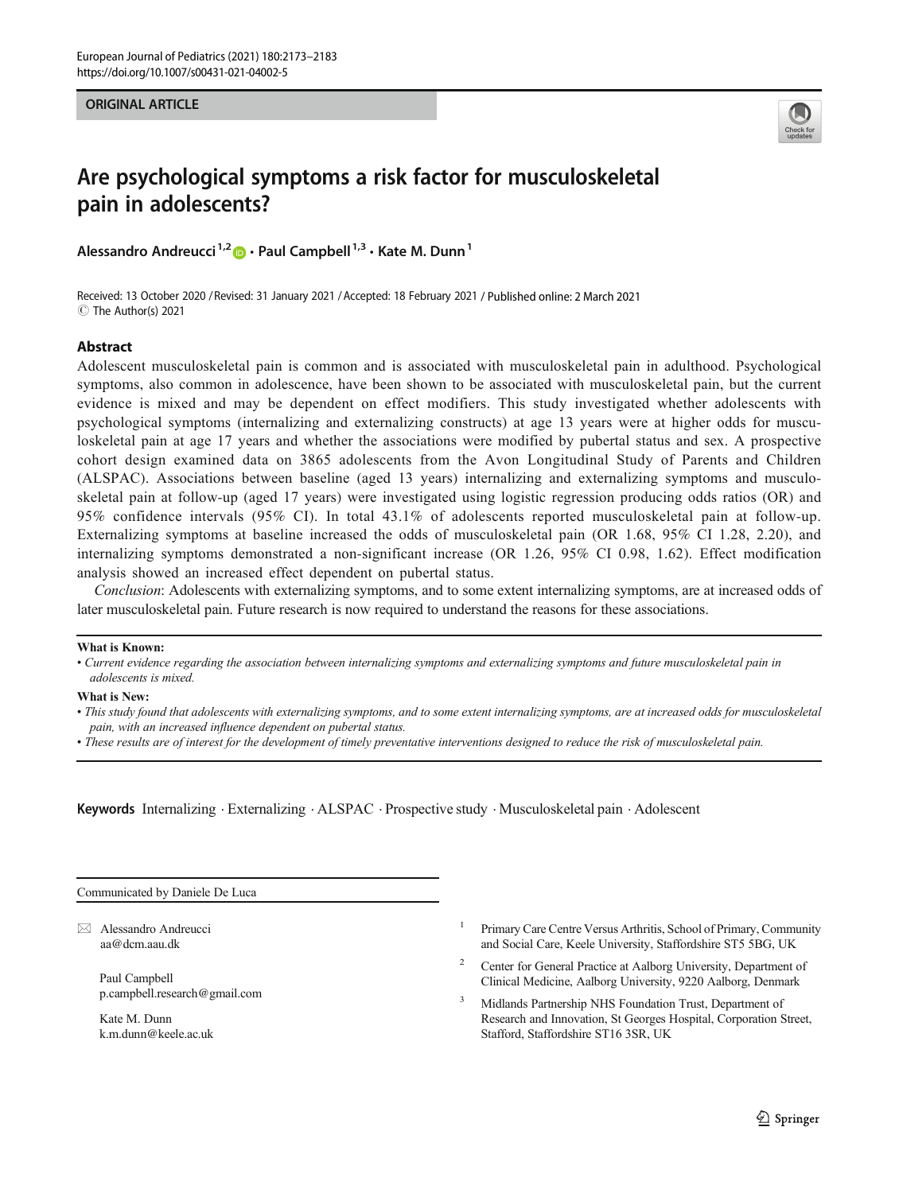ORIGINAL ARTICLE



# Are psychological symptoms a risk factor for musculoskeletal pain in adolescents?

Alessandro Andreucci<sup>1,2</sup>  $\bullet$  · Paul Campbell<sup>1,3</sup> · Kate M. Dunn<sup>1</sup>

Received: 13 October 2020 / Revised: 31 January 2021 /Accepted: 18 February 2021 / Published online: 2 March 2021 C The Author(s) 2021

### Abstract

Adolescent musculoskeletal pain is common and is associated with musculoskeletal pain in adulthood. Psychological symptoms, also common in adolescence, have been shown to be associated with musculoskeletal pain, but the current evidence is mixed and may be dependent on effect modifiers. This study investigated whether adolescents with psychological symptoms (internalizing and externalizing constructs) at age 13 years were at higher odds for musculoskeletal pain at age 17 years and whether the associations were modified by pubertal status and sex. A prospective cohort design examined data on 3865 adolescents from the Avon Longitudinal Study of Parents and Children (ALSPAC). Associations between baseline (aged 13 years) internalizing and externalizing symptoms and musculoskeletal pain at follow-up (aged 17 years) were investigated using logistic regression producing odds ratios (OR) and 95% confidence intervals (95% CI). In total 43.1% of adolescents reported musculoskeletal pain at follow-up. Externalizing symptoms at baseline increased the odds of musculoskeletal pain (OR 1.68, 95% CI 1.28, 2.20), and internalizing symptoms demonstrated a non-significant increase (OR 1.26, 95% CI 0.98, 1.62). Effect modification analysis showed an increased effect dependent on pubertal status.

Conclusion: Adolescents with externalizing symptoms, and to some extent internalizing symptoms, are at increased odds of later musculoskeletal pain. Future research is now required to understand the reasons for these associations.

### What is Known:

### What is New:

• These results are of interest for the development of timely preventative interventions designed to reduce the risk of musculoskeletal pain.

Keywords Internalizing . Externalizing . ALSPAC . Prospective study . Musculoskeletal pain . Adolescent

Communicated by Daniele De Luca

 $\boxtimes$  Alessandro Andreucci [aa@dcm.aau.dk](mailto:aa@dcm.aau.dk)

> Paul Campbell p.campbell.research@gmail.com

Kate M. Dunn k.m.dunn@keele.ac.uk

- <sup>1</sup> Primary Care Centre Versus Arthritis, School of Primary, Community and Social Care, Keele University, Staffordshire ST5 5BG, UK
- <sup>2</sup> Center for General Practice at Aalborg University, Department of Clinical Medicine, Aalborg University, 9220 Aalborg, Denmark
- <sup>3</sup> Midlands Partnership NHS Foundation Trust, Department of Research and Innovation, St Georges Hospital, Corporation Street, Stafford, Staffordshire ST16 3SR, UK

<sup>•</sup> Current evidence regarding the association between internalizing symptoms and externalizing symptoms and future musculoskeletal pain in adolescents is mixed.

<sup>•</sup> This study found that adolescents with externalizing symptoms, and to some extent internalizing symptoms, are at increased odds for musculoskeletal pain, with an increased influence dependent on pubertal status.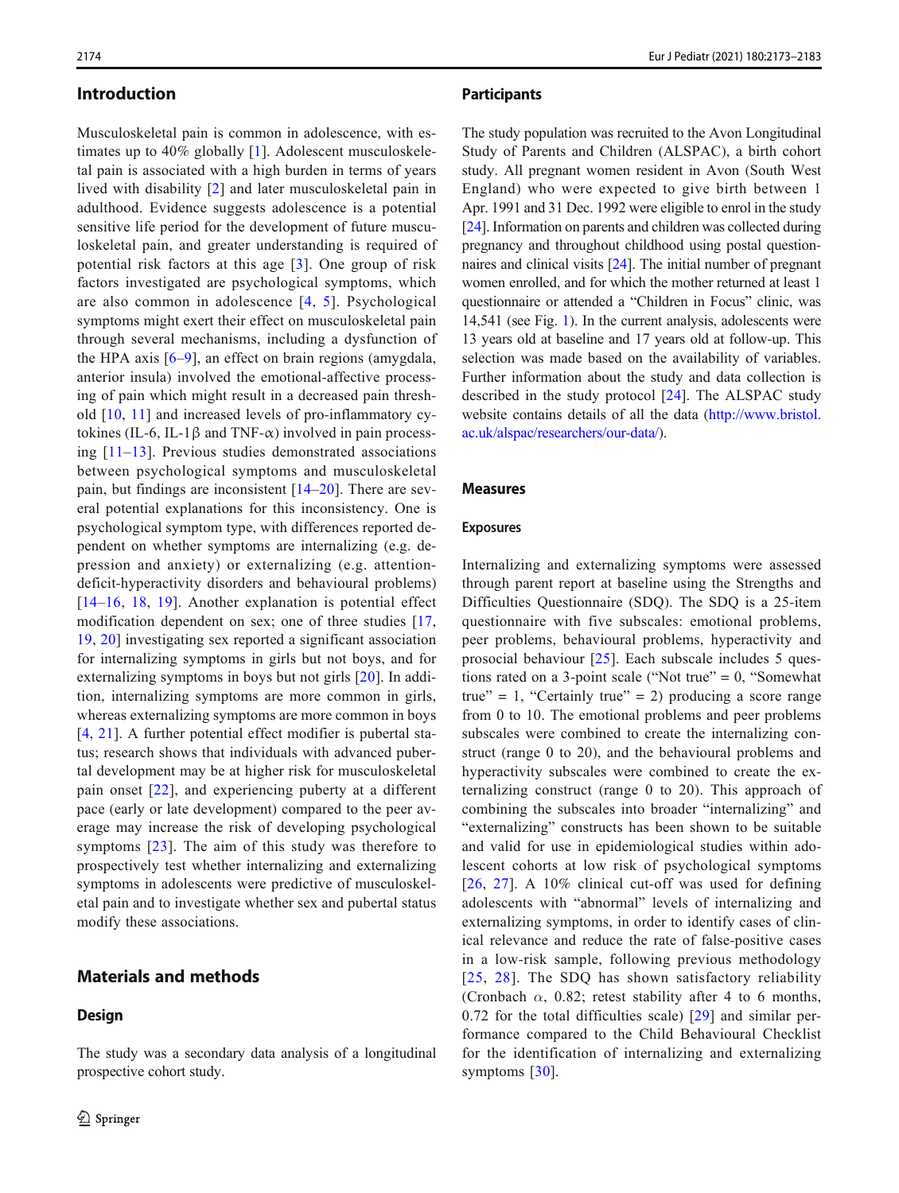### Introduction

Musculoskeletal pain is common in adolescence, with estimates up to 40% globally [\[1](#page-9-0)]. Adolescent musculoskeletal pain is associated with a high burden in terms of years lived with disability [[2\]](#page-9-0) and later musculoskeletal pain in adulthood. Evidence suggests adolescence is a potential sensitive life period for the development of future musculoskeletal pain, and greater understanding is required of potential risk factors at this age [[3](#page-9-0)]. One group of risk factors investigated are psychological symptoms, which are also common in adolescence [[4,](#page-9-0) [5](#page-9-0)]. Psychological symptoms might exert their effect on musculoskeletal pain through several mechanisms, including a dysfunction of the HPA axis  $[6-9]$  $[6-9]$  $[6-9]$  $[6-9]$  $[6-9]$ , an effect on brain regions (amygdala, anterior insula) involved the emotional-affective processing of pain which might result in a decreased pain threshold [[10,](#page-9-0) [11\]](#page-9-0) and increased levels of pro-inflammatory cytokines (IL-6, IL-1 $\beta$  and TNF- $\alpha$ ) involved in pain processing  $[11-13]$  $[11-13]$  $[11-13]$  $[11-13]$  $[11-13]$ . Previous studies demonstrated associations between psychological symptoms and musculoskeletal pain, but findings are inconsistent [\[14](#page-9-0)–[20\]](#page-9-0). There are several potential explanations for this inconsistency. One is psychological symptom type, with differences reported dependent on whether symptoms are internalizing (e.g. depression and anxiety) or externalizing (e.g. attentiondeficit-hyperactivity disorders and behavioural problems) [\[14](#page-9-0)–[16](#page-9-0), [18](#page-9-0), [19\]](#page-9-0). Another explanation is potential effect modification dependent on sex; one of three studies [\[17,](#page-9-0) [19](#page-9-0), [20\]](#page-9-0) investigating sex reported a significant association for internalizing symptoms in girls but not boys, and for externalizing symptoms in boys but not girls [[20\]](#page-9-0). In addition, internalizing symptoms are more common in girls, whereas externalizing symptoms are more common in boys [\[4](#page-9-0), [21](#page-9-0)]. A further potential effect modifier is pubertal status; research shows that individuals with advanced pubertal development may be at higher risk for musculoskeletal pain onset [[22](#page-10-0)], and experiencing puberty at a different pace (early or late development) compared to the peer average may increase the risk of developing psychological symptoms [[23](#page-10-0)]. The aim of this study was therefore to prospectively test whether internalizing and externalizing symptoms in adolescents were predictive of musculoskeletal pain and to investigate whether sex and pubertal status modify these associations.

# Materials and methods

### **Design**

The study was a secondary data analysis of a longitudinal prospective cohort study.

### **Participants**

The study population was recruited to the Avon Longitudinal Study of Parents and Children (ALSPAC), a birth cohort study. All pregnant women resident in Avon (South West England) who were expected to give birth between 1 Apr. 1991 and 31 Dec. 1992 were eligible to enrol in the study [\[24](#page-10-0)]. Information on parents and children was collected during pregnancy and throughout childhood using postal questionnaires and clinical visits [[24\]](#page-10-0). The initial number of pregnant women enrolled, and for which the mother returned at least 1 questionnaire or attended a "Children in Focus" clinic, was 14,541 (see Fig. [1](#page-3-0)). In the current analysis, adolescents were 13 years old at baseline and 17 years old at follow-up. This selection was made based on the availability of variables. Further information about the study and data collection is described in the study protocol [[24\]](#page-10-0). The ALSPAC study website contains details of all the data ([http://www.bristol.](http://www.bristol.ac.uk/alspac/external/documents/grant-acknowledgements.pdf) [ac.uk/alspac/researchers/our-data/](http://www.bristol.ac.uk/alspac/external/documents/grant-acknowledgements.pdf)).

### Measures

### Exposures

Internalizing and externalizing symptoms were assessed through parent report at baseline using the Strengths and Difficulties Questionnaire (SDQ). The SDQ is a 25-item questionnaire with five subscales: emotional problems, peer problems, behavioural problems, hyperactivity and prosocial behaviour [\[25\]](#page-10-0). Each subscale includes 5 questions rated on a 3-point scale ("Not true"  $= 0$ , "Somewhat true" = 1, "Certainly true" = 2) producing a score range from 0 to 10. The emotional problems and peer problems subscales were combined to create the internalizing construct (range 0 to 20), and the behavioural problems and hyperactivity subscales were combined to create the externalizing construct (range 0 to 20). This approach of combining the subscales into broader "internalizing" and "externalizing" constructs has been shown to be suitable and valid for use in epidemiological studies within adolescent cohorts at low risk of psychological symptoms [[26,](#page-10-0) [27](#page-10-0)]. A 10% clinical cut-off was used for defining adolescents with "abnormal" levels of internalizing and externalizing symptoms, in order to identify cases of clinical relevance and reduce the rate of false-positive cases in a low-risk sample, following previous methodology [[25](#page-10-0), [28\]](#page-10-0). The SDQ has shown satisfactory reliability (Cronbach  $\alpha$ , 0.82; retest stability after 4 to 6 months, 0.72 for the total difficulties scale) [\[29](#page-10-0)] and similar performance compared to the Child Behavioural Checklist for the identification of internalizing and externalizing symptoms [[30\]](#page-10-0).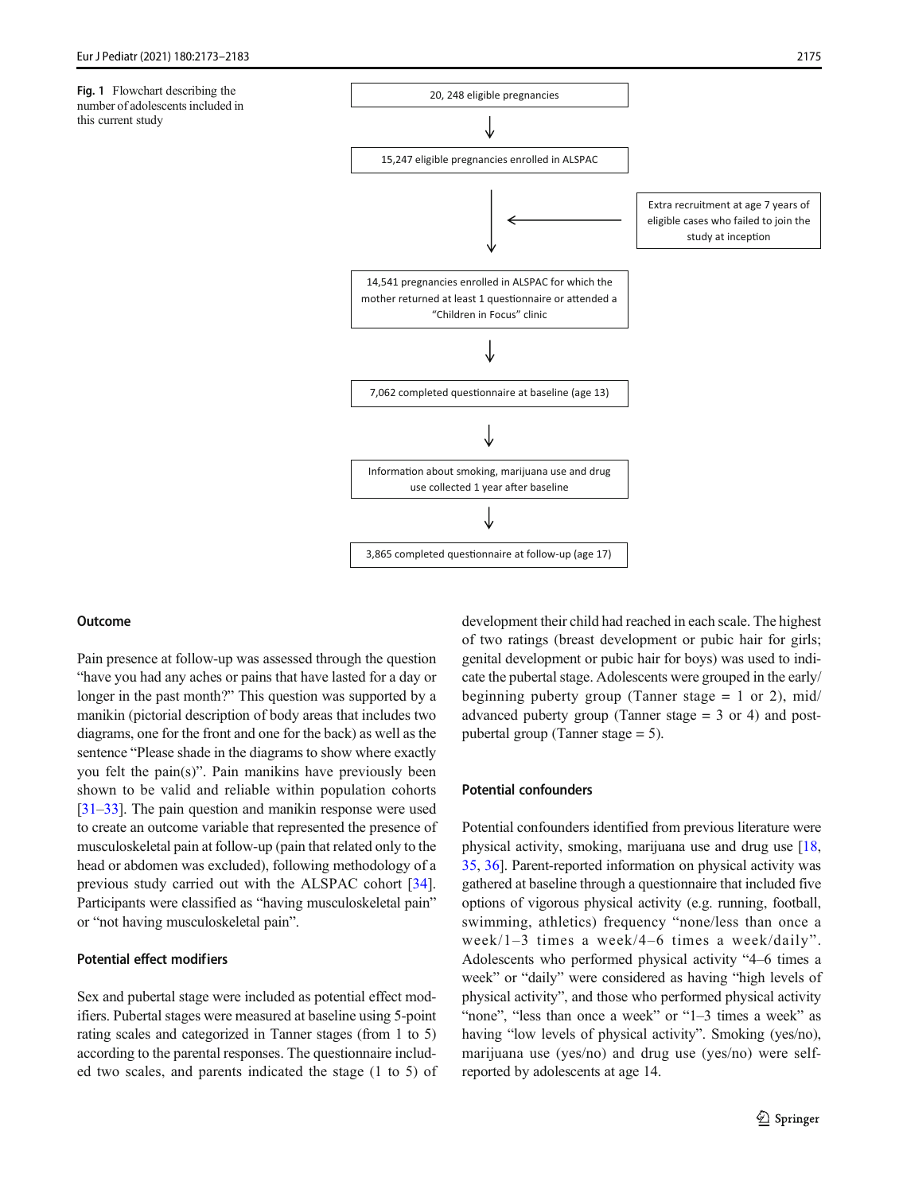<span id="page-3-0"></span>Fig. 1 Flowchart describing the number of adolescents included in this current study



### **Outcome**

Pain presence at follow-up was assessed through the question "have you had any aches or pains that have lasted for a day or longer in the past month?" This question was supported by a manikin (pictorial description of body areas that includes two diagrams, one for the front and one for the back) as well as the sentence "Please shade in the diagrams to show where exactly you felt the pain(s)". Pain manikins have previously been shown to be valid and reliable within population cohorts [\[31](#page-10-0)–[33\]](#page-10-0). The pain question and manikin response were used to create an outcome variable that represented the presence of musculoskeletal pain at follow-up (pain that related only to the head or abdomen was excluded), following methodology of a previous study carried out with the ALSPAC cohort [\[34](#page-10-0)]. Participants were classified as "having musculoskeletal pain" or "not having musculoskeletal pain".

### Potential effect modifiers

Sex and pubertal stage were included as potential effect modifiers. Pubertal stages were measured at baseline using 5-point rating scales and categorized in Tanner stages (from 1 to 5) according to the parental responses. The questionnaire included two scales, and parents indicated the stage (1 to 5) of development their child had reached in each scale. The highest of two ratings (breast development or pubic hair for girls; genital development or pubic hair for boys) was used to indicate the pubertal stage. Adolescents were grouped in the early/ beginning puberty group (Tanner stage  $= 1$  or 2), mid/ advanced puberty group (Tanner stage  $= 3$  or 4) and postpubertal group (Tanner stage = 5).

### Potential confounders

Potential confounders identified from previous literature were physical activity, smoking, marijuana use and drug use [\[18,](#page-9-0) [35,](#page-10-0) [36\]](#page-10-0). Parent-reported information on physical activity was gathered at baseline through a questionnaire that included five options of vigorous physical activity (e.g. running, football, swimming, athletics) frequency "none/less than once a week/1–3 times a week/4–6 times a week/daily". Adolescents who performed physical activity "4–6 times a week" or "daily" were considered as having "high levels of physical activity", and those who performed physical activity "none", "less than once a week" or "1–3 times a week" as having "low levels of physical activity". Smoking (yes/no), marijuana use (yes/no) and drug use (yes/no) were selfreported by adolescents at age 14.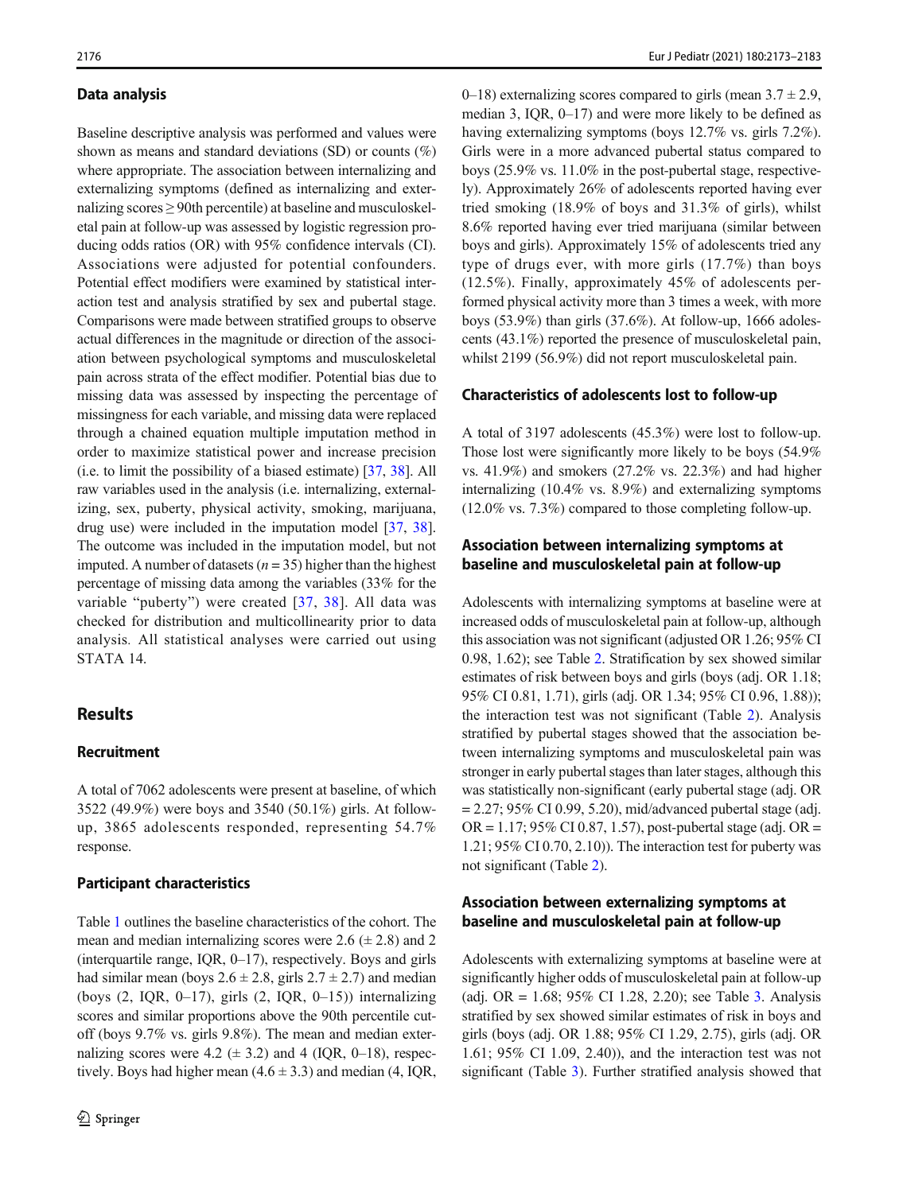### Data analysis

Baseline descriptive analysis was performed and values were shown as means and standard deviations (SD) or counts (%) where appropriate. The association between internalizing and externalizing symptoms (defined as internalizing and externalizing scores ≥ 90th percentile) at baseline and musculoskeletal pain at follow-up was assessed by logistic regression producing odds ratios (OR) with 95% confidence intervals (CI). Associations were adjusted for potential confounders. Potential effect modifiers were examined by statistical interaction test and analysis stratified by sex and pubertal stage. Comparisons were made between stratified groups to observe actual differences in the magnitude or direction of the association between psychological symptoms and musculoskeletal pain across strata of the effect modifier. Potential bias due to missing data was assessed by inspecting the percentage of missingness for each variable, and missing data were replaced through a chained equation multiple imputation method in order to maximize statistical power and increase precision (i.e. to limit the possibility of a biased estimate) [[37](#page-10-0), [38](#page-10-0)]. All raw variables used in the analysis (i.e. internalizing, externalizing, sex, puberty, physical activity, smoking, marijuana, drug use) were included in the imputation model [\[37](#page-10-0), [38](#page-10-0)]. The outcome was included in the imputation model, but not imputed. A number of datasets ( $n = 35$ ) higher than the highest percentage of missing data among the variables (33% for the variable "puberty") were created [[37,](#page-10-0) [38\]](#page-10-0). All data was checked for distribution and multicollinearity prior to data analysis. All statistical analyses were carried out using STATA 14.

# **Results**

# Recruitment

A total of 7062 adolescents were present at baseline, of which 3522 (49.9%) were boys and 3540 (50.1%) girls. At followup, 3865 adolescents responded, representing 54.7% response.

### Participant characteristics

Table [1](#page-5-0) outlines the baseline characteristics of the cohort. The mean and median internalizing scores were  $2.6 \ (\pm 2.8)$  and 2 (interquartile range, IQR, 0–17), respectively. Boys and girls had similar mean (boys  $2.6 \pm 2.8$ , girls  $2.7 \pm 2.7$ ) and median (boys  $(2, IQR, 0-17)$ , girls  $(2, IQR, 0-15)$ ) internalizing scores and similar proportions above the 90th percentile cutoff (boys 9.7% vs. girls 9.8%). The mean and median externalizing scores were 4.2 ( $\pm$  3.2) and 4 (IQR, 0–18), respectively. Boys had higher mean  $(4.6 \pm 3.3)$  and median  $(4, IQR, IQR)$  0–18) externalizing scores compared to girls (mean  $3.7 \pm 2.9$ , median 3, IQR, 0–17) and were more likely to be defined as having externalizing symptoms (boys 12.7% vs. girls 7.2%). Girls were in a more advanced pubertal status compared to boys (25.9% vs. 11.0% in the post-pubertal stage, respectively). Approximately 26% of adolescents reported having ever tried smoking (18.9% of boys and 31.3% of girls), whilst 8.6% reported having ever tried marijuana (similar between boys and girls). Approximately 15% of adolescents tried any type of drugs ever, with more girls (17.7%) than boys (12.5%). Finally, approximately 45% of adolescents performed physical activity more than 3 times a week, with more boys (53.9%) than girls (37.6%). At follow-up, 1666 adolescents (43.1%) reported the presence of musculoskeletal pain, whilst 2199 (56.9%) did not report musculoskeletal pain.

### Characteristics of adolescents lost to follow-up

A total of 3197 adolescents (45.3%) were lost to follow-up. Those lost were significantly more likely to be boys (54.9% vs. 41.9%) and smokers (27.2% vs. 22.3%) and had higher internalizing (10.4% vs. 8.9%) and externalizing symptoms (12.0% vs. 7.3%) compared to those completing follow-up.

# Association between internalizing symptoms at baseline and musculoskeletal pain at follow-up

Adolescents with internalizing symptoms at baseline were at increased odds of musculoskeletal pain at follow-up, although this association was not significant (adjusted OR 1.26; 95% CI 0.98, 1.62); see Table [2.](#page-6-0) Stratification by sex showed similar estimates of risk between boys and girls (boys (adj. OR 1.18; 95% CI 0.81, 1.71), girls (adj. OR 1.34; 95% CI 0.96, 1.88)); the interaction test was not significant (Table [2](#page-6-0)). Analysis stratified by pubertal stages showed that the association between internalizing symptoms and musculoskeletal pain was stronger in early pubertal stages than later stages, although this was statistically non-significant (early pubertal stage (adj. OR  $= 2.27$ ; 95% CI 0.99, 5.20), mid/advanced pubertal stage (adj. OR = 1.17; 95% CI 0.87, 1.57), post-pubertal stage (adj. OR = 1.21; 95% CI 0.70, 2.10)). The interaction test for puberty was not significant (Table [2](#page-6-0)).

# Association between externalizing symptoms at baseline and musculoskeletal pain at follow-up

Adolescents with externalizing symptoms at baseline were at significantly higher odds of musculoskeletal pain at follow-up (adj. OR = 1.68; 95% CI 1.28, 2.20); see Table [3.](#page-7-0) Analysis stratified by sex showed similar estimates of risk in boys and girls (boys (adj. OR 1.88; 95% CI 1.29, 2.75), girls (adj. OR 1.61; 95% CI 1.09, 2.40)), and the interaction test was not significant (Table [3\)](#page-7-0). Further stratified analysis showed that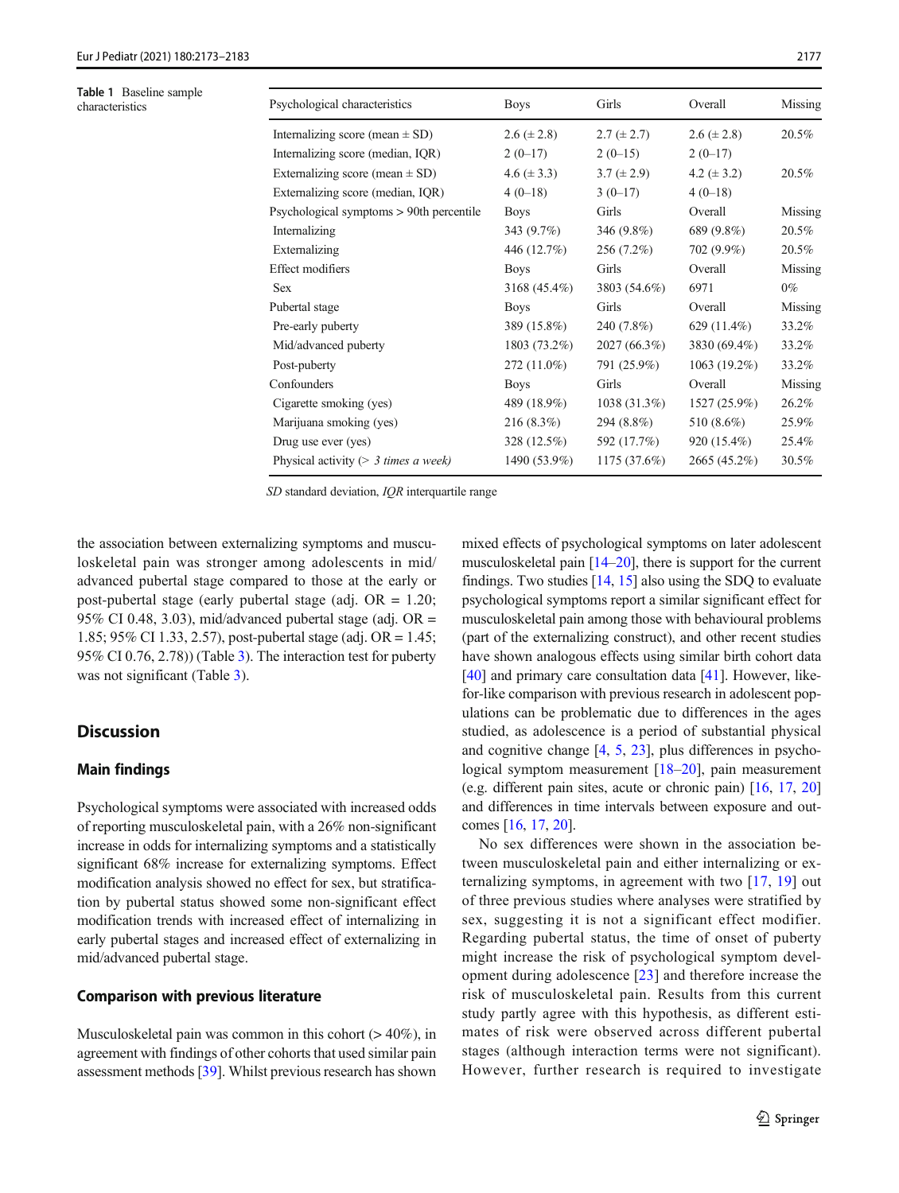<span id="page-5-0"></span>Table 1 Baseline sample<br>characteristics

| <b>Table 1</b> Baseline sample<br>characteristics | Psychological characteristics            | <b>Boys</b>     | Girls           | Overall         | Missing |
|---------------------------------------------------|------------------------------------------|-----------------|-----------------|-----------------|---------|
|                                                   | Internalizing score (mean $\pm$ SD)      | $2.6 (\pm 2.8)$ | $2.7 (\pm 2.7)$ | $2.6 (\pm 2.8)$ | 20.5%   |
|                                                   | Internalizing score (median, IQR)        | $2(0-17)$       | $2(0-15)$       | $2(0-17)$       |         |
|                                                   | Externalizing score (mean $\pm$ SD)      | 4.6 $(\pm 3.3)$ | $3.7 (\pm 2.9)$ | 4.2 $(\pm 3.2)$ | 20.5%   |
|                                                   | Externalizing score (median, IQR)        | $4(0-18)$       | $3(0-17)$       | $4(0-18)$       |         |
|                                                   | Psychological symptoms > 90th percentile | <b>Boys</b>     | Girls           | Overall         | Missing |
|                                                   | Internalizing                            | 343(9.7%)       | 346 (9.8%)      | 689 (9.8%)      | 20.5%   |
|                                                   | Externalizing                            | 446 (12.7%)     | 256 (7.2%)      | 702 (9.9%)      | 20.5%   |
|                                                   | <b>Effect modifiers</b>                  | <b>Boys</b>     | Girls           | Overall         | Missing |
|                                                   | <b>Sex</b>                               | $3168(45.4\%)$  | 3803 (54.6%)    | 6971            | $0\%$   |
|                                                   | Pubertal stage                           | <b>Boys</b>     | Girls           | Overall         | Missing |
|                                                   | Pre-early puberty                        | 389 (15.8%)     | 240 (7.8%)      | 629 $(11.4\%)$  | 33.2%   |
|                                                   | Mid/advanced puberty                     | 1803 (73.2%)    | 2027 (66.3%)    | 3830 (69.4%)    | 33.2%   |
|                                                   | Post-puberty                             | 272 (11.0%)     | 791 (25.9%)     | $1063(19.2\%)$  | 33.2%   |
|                                                   | Confounders                              | <b>Boys</b>     | Girls           | Overall         | Missing |
|                                                   | Cigarette smoking (yes)                  | 489 (18.9%)     | 1038(31.3%)     | 1527 (25.9%)    | 26.2%   |
|                                                   | Marijuana smoking (yes)                  | 216(8.3%)       | 294 (8.8%)      | 510 (8.6%)      | 25.9%   |
|                                                   | Drug use ever (yes)                      | 328 (12.5%)     | 592 (17.7%)     | 920 (15.4%)     | 25.4%   |
|                                                   | Physical activity ( $> 3$ times a week)  | 1490 (53.9%)    | 1175(37.6%)     | 2665 (45.2%)    | 30.5%   |

SD standard deviation, IQR interquartile range

the association between externalizing symptoms and musculoskeletal pain was stronger among adolescents in mid/ advanced pubertal stage compared to those at the early or post-pubertal stage (early pubertal stage (adj. OR = 1.20; 95% CI 0.48, 3.03), mid/advanced pubertal stage (adj. OR  $=$ 1.85; 95% CI 1.33, 2.57), post-pubertal stage (adj. OR = 1.45; 95% CI 0.76, 2.78)) (Table [3](#page-7-0)). The interaction test for puberty was not significant (Table [3\)](#page-7-0).

# **Discussion**

# Main findings

Psychological symptoms were associated with increased odds of reporting musculoskeletal pain, with a 26% non-significant increase in odds for internalizing symptoms and a statistically significant 68% increase for externalizing symptoms. Effect modification analysis showed no effect for sex, but stratification by pubertal status showed some non-significant effect modification trends with increased effect of internalizing in early pubertal stages and increased effect of externalizing in mid/advanced pubertal stage.

### Comparison with previous literature

Musculoskeletal pain was common in this cohort  $(>40\%)$ , in agreement with findings of other cohorts that used similar pain assessment methods [\[39\]](#page-10-0). Whilst previous research has shown mixed effects of psychological symptoms on later adolescent musculoskeletal pain [\[14](#page-9-0)–[20\]](#page-9-0), there is support for the current findings. Two studies [\[14,](#page-9-0) [15](#page-9-0)] also using the SDQ to evaluate psychological symptoms report a similar significant effect for musculoskeletal pain among those with behavioural problems (part of the externalizing construct), and other recent studies have shown analogous effects using similar birth cohort data [\[40](#page-10-0)] and primary care consultation data [\[41](#page-10-0)]. However, likefor-like comparison with previous research in adolescent populations can be problematic due to differences in the ages studied, as adolescence is a period of substantial physical and cognitive change [[4,](#page-9-0) [5](#page-9-0), [23](#page-10-0)], plus differences in psycho-logical symptom measurement [[18](#page-9-0)–[20\]](#page-9-0), pain measurement (e.g. different pain sites, acute or chronic pain) [\[16,](#page-9-0) [17](#page-9-0), [20](#page-9-0)] and differences in time intervals between exposure and outcomes [[16,](#page-9-0) [17](#page-9-0), [20](#page-9-0)].

No sex differences were shown in the association between musculoskeletal pain and either internalizing or externalizing symptoms, in agreement with two [[17,](#page-9-0) [19\]](#page-9-0) out of three previous studies where analyses were stratified by sex, suggesting it is not a significant effect modifier. Regarding pubertal status, the time of onset of puberty might increase the risk of psychological symptom development during adolescence [\[23\]](#page-10-0) and therefore increase the risk of musculoskeletal pain. Results from this current study partly agree with this hypothesis, as different estimates of risk were observed across different pubertal stages (although interaction terms were not significant). However, further research is required to investigate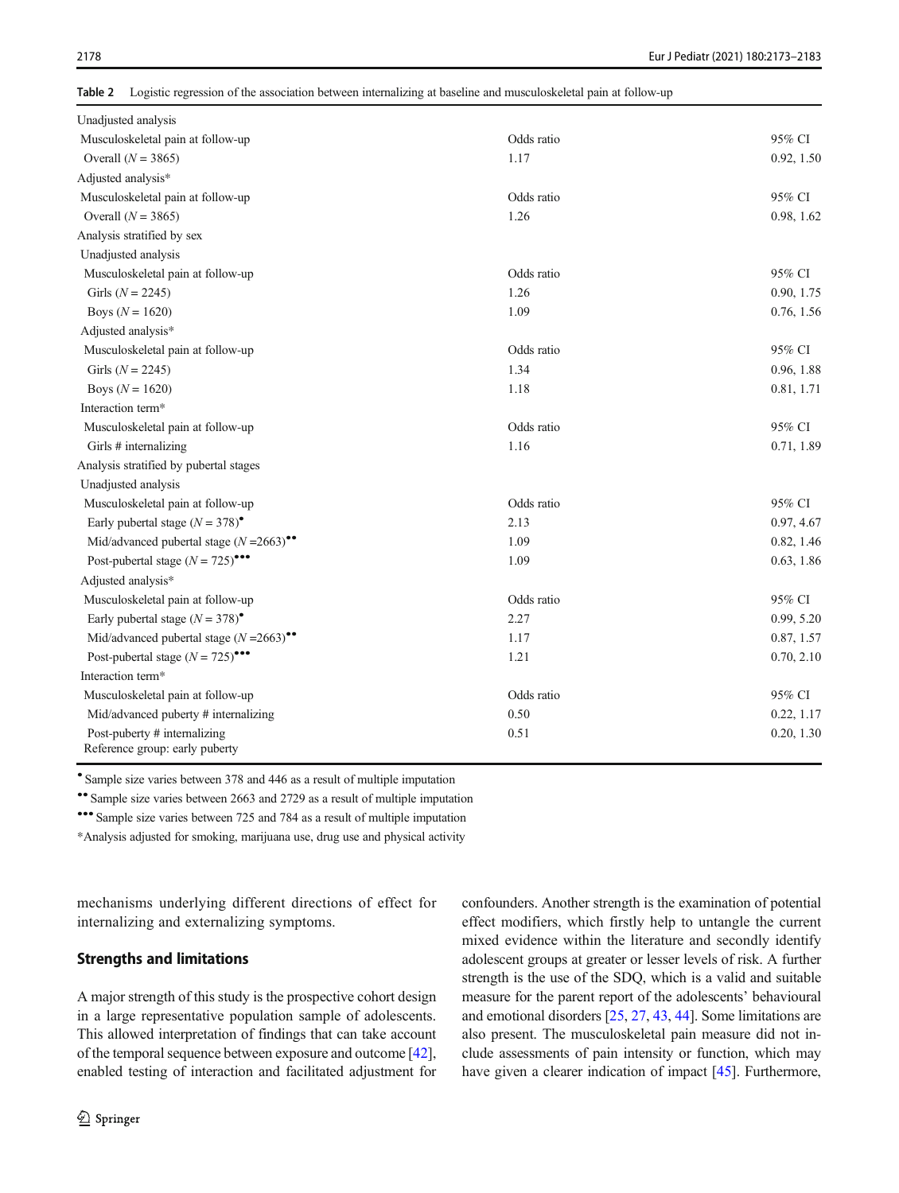<span id="page-6-0"></span>Table 2 Logistic regression of the association between internalizing at baseline and musculoskeletal pain at follow-up

| Unadjusted analysis                                            |            |            |
|----------------------------------------------------------------|------------|------------|
| Musculoskeletal pain at follow-up                              | Odds ratio | 95% CI     |
| Overall $(N = 3865)$                                           | 1.17       | 0.92, 1.50 |
| Adjusted analysis*                                             |            |            |
| Musculoskeletal pain at follow-up                              | Odds ratio | 95% CI     |
| Overall $(N = 3865)$                                           | 1.26       | 0.98, 1.62 |
| Analysis stratified by sex                                     |            |            |
| Unadjusted analysis                                            |            |            |
| Musculoskeletal pain at follow-up                              | Odds ratio | 95% CI     |
| Girls ( $N = 2245$ )                                           | 1.26       | 0.90, 1.75 |
| Boys ( $N = 1620$ )                                            | 1.09       | 0.76, 1.56 |
| Adjusted analysis*                                             |            |            |
| Musculoskeletal pain at follow-up                              | Odds ratio | 95% CI     |
| Girls ( $N = 2245$ )                                           | 1.34       | 0.96, 1.88 |
| Boys $(N = 1620)$                                              | 1.18       | 0.81, 1.71 |
| Interaction term*                                              |            |            |
| Musculoskeletal pain at follow-up                              | Odds ratio | 95% CI     |
| Girls # internalizing                                          | 1.16       | 0.71, 1.89 |
| Analysis stratified by pubertal stages                         |            |            |
| Unadjusted analysis                                            |            |            |
| Musculoskeletal pain at follow-up                              | Odds ratio | 95% CI     |
| Early pubertal stage $(N = 378)$ <sup>*</sup>                  | 2.13       | 0.97, 4.67 |
| Mid/advanced pubertal stage $(N=2663)$ <sup>**</sup>           | 1.09       | 0.82, 1.46 |
| Post-pubertal stage $(N = 725)$ <sup>***</sup>                 | 1.09       | 0.63, 1.86 |
| Adjusted analysis*                                             |            |            |
| Musculoskeletal pain at follow-up                              | Odds ratio | 95% CI     |
| Early pubertal stage $(N = 378)$ <sup>*</sup>                  | 2.27       | 0.99, 5.20 |
| Mid/advanced pubertal stage $(N=2663)$ <sup>**</sup>           | 1.17       | 0.87, 1.57 |
| Post-pubertal stage $(N = 725)$ <sup>***</sup>                 | 1.21       | 0.70, 2.10 |
| Interaction term*                                              |            |            |
| Musculoskeletal pain at follow-up                              | Odds ratio | 95% CI     |
| Mid/advanced puberty # internalizing                           | 0.50       | 0.22, 1.17 |
| Post-puberty # internalizing<br>Reference group: early puberty | 0.51       | 0.20, 1.30 |

● Sample size varies between 378 and 446 as a result of multiple imputation

•• Sample size varies between 2663 and 2729 as a result of multiple imputation

••• Sample size varies between 725 and 784 as a result of multiple imputation

\*Analysis adjusted for smoking, marijuana use, drug use and physical activity

mechanisms underlying different directions of effect for internalizing and externalizing symptoms.

### Strengths and limitations

A major strength of this study is the prospective cohort design in a large representative population sample of adolescents. This allowed interpretation of findings that can take account of the temporal sequence between exposure and outcome [[42\]](#page-10-0), enabled testing of interaction and facilitated adjustment for confounders. Another strength is the examination of potential effect modifiers, which firstly help to untangle the current mixed evidence within the literature and secondly identify adolescent groups at greater or lesser levels of risk. A further strength is the use of the SDQ, which is a valid and suitable measure for the parent report of the adolescents' behavioural and emotional disorders [\[25,](#page-10-0) [27](#page-10-0), [43,](#page-10-0) [44](#page-10-0)]. Some limitations are also present. The musculoskeletal pain measure did not include assessments of pain intensity or function, which may have given a clearer indication of impact [\[45\]](#page-10-0). Furthermore,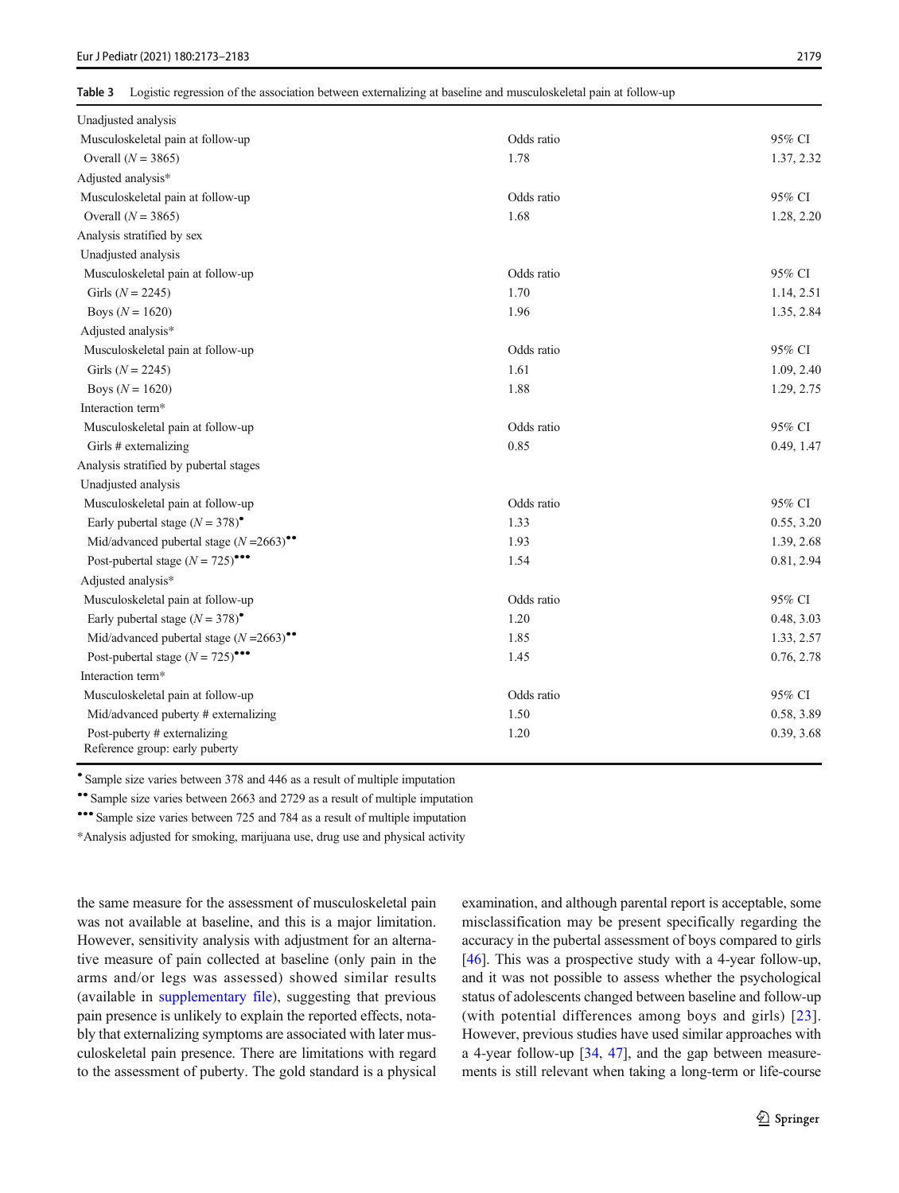<span id="page-7-0"></span>Table 3 Logistic regression of the association between externalizing at baseline and musculoskeletal pain at follow-up

| Unadjusted analysis                                            |            |            |
|----------------------------------------------------------------|------------|------------|
| Musculoskeletal pain at follow-up                              | Odds ratio | 95% CI     |
| Overall $(N = 3865)$                                           | 1.78       | 1.37, 2.32 |
| Adjusted analysis*                                             |            |            |
| Musculoskeletal pain at follow-up                              | Odds ratio | 95% CI     |
| Overall $(N = 3865)$                                           | 1.68       | 1.28, 2.20 |
| Analysis stratified by sex                                     |            |            |
| Unadjusted analysis                                            |            |            |
| Musculoskeletal pain at follow-up                              | Odds ratio | 95% CI     |
| Girls ( $N = 2245$ )                                           | 1.70       | 1.14, 2.51 |
| Boys ( $N = 1620$ )                                            | 1.96       | 1.35, 2.84 |
| Adjusted analysis*                                             |            |            |
| Musculoskeletal pain at follow-up                              | Odds ratio | 95% CI     |
| Girls ( $N = 2245$ )                                           | 1.61       | 1.09, 2.40 |
| Boys $(N = 1620)$                                              | 1.88       | 1.29, 2.75 |
| Interaction term*                                              |            |            |
| Musculoskeletal pain at follow-up                              | Odds ratio | 95% CI     |
| Girls # externalizing                                          | 0.85       | 0.49, 1.47 |
| Analysis stratified by pubertal stages                         |            |            |
| Unadjusted analysis                                            |            |            |
| Musculoskeletal pain at follow-up                              | Odds ratio | 95% CI     |
| Early pubertal stage $(N = 378)$ <sup>*</sup>                  | 1.33       | 0.55, 3.20 |
| Mid/advanced pubertal stage $(N=2663)$ <sup>**</sup>           | 1.93       | 1.39, 2.68 |
| Post-pubertal stage $(N = 725)$ <sup>***</sup>                 | 1.54       | 0.81, 2.94 |
| Adjusted analysis*                                             |            |            |
| Musculoskeletal pain at follow-up                              | Odds ratio | 95% CI     |
| Early pubertal stage $(N = 378)$ <sup>*</sup>                  | 1.20       | 0.48, 3.03 |
| Mid/advanced pubertal stage $(N=2663)$ <sup>**</sup>           | 1.85       | 1.33, 2.57 |
| Post-pubertal stage $(N = 725)$ <sup>***</sup>                 | 1.45       | 0.76, 2.78 |
| Interaction term*                                              |            |            |
| Musculoskeletal pain at follow-up                              | Odds ratio | 95% CI     |
| Mid/advanced puberty # externalizing                           | 1.50       | 0.58, 3.89 |
| Post-puberty # externalizing<br>Reference group: early puberty | 1.20       | 0.39, 3.68 |

● Sample size varies between 378 and 446 as a result of multiple imputation

•• Sample size varies between 2663 and 2729 as a result of multiple imputation

••• Sample size varies between 725 and 784 as a result of multiple imputation

\*Analysis adjusted for smoking, marijuana use, drug use and physical activity

the same measure for the assessment of musculoskeletal pain was not available at baseline, and this is a major limitation. However, sensitivity analysis with adjustment for an alternative measure of pain collected at baseline (only pain in the arms and/or legs was assessed) showed similar results (available in supplementary file), suggesting that previous pain presence is unlikely to explain the reported effects, notably that externalizing symptoms are associated with later musculoskeletal pain presence. There are limitations with regard to the assessment of puberty. The gold standard is a physical examination, and although parental report is acceptable, some misclassification may be present specifically regarding the accuracy in the pubertal assessment of boys compared to girls [\[46](#page-10-0)]. This was a prospective study with a 4-year follow-up, and it was not possible to assess whether the psychological status of adolescents changed between baseline and follow-up (with potential differences among boys and girls) [[23](#page-10-0)]. However, previous studies have used similar approaches with a 4-year follow-up [\[34](#page-10-0), [47\]](#page-10-0), and the gap between measurements is still relevant when taking a long-term or life-course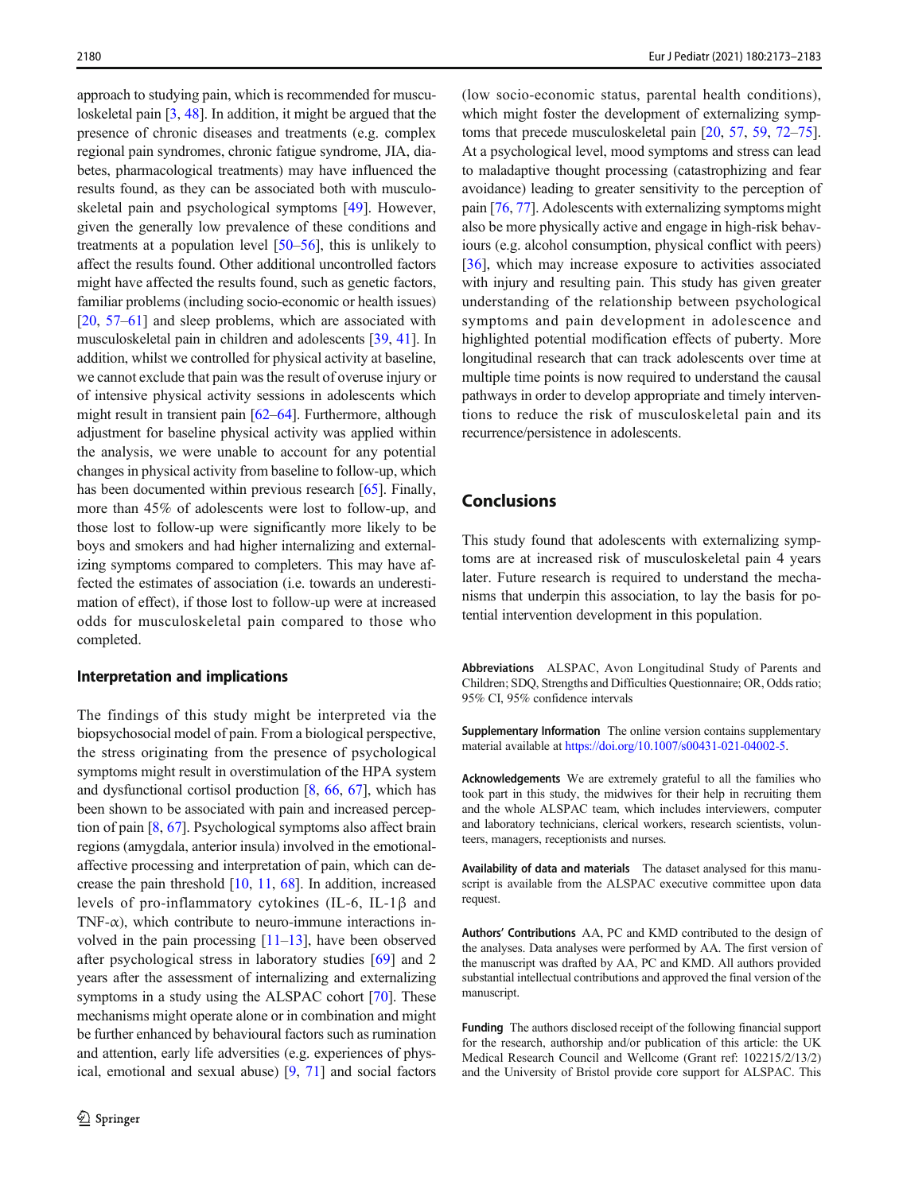approach to studying pain, which is recommended for musculoskeletal pain [[3](#page-9-0), [48](#page-10-0)]. In addition, it might be argued that the presence of chronic diseases and treatments (e.g. complex regional pain syndromes, chronic fatigue syndrome, JIA, diabetes, pharmacological treatments) may have influenced the results found, as they can be associated both with musculoskeletal pain and psychological symptoms [[49\]](#page-10-0). However, given the generally low prevalence of these conditions and treatments at a population level [\[50](#page-10-0)–[56\]](#page-11-0), this is unlikely to affect the results found. Other additional uncontrolled factors might have affected the results found, such as genetic factors, familiar problems (including socio-economic or health issues) [\[20,](#page-9-0) [57](#page-11-0)–[61\]](#page-11-0) and sleep problems, which are associated with musculoskeletal pain in children and adolescents [[39,](#page-10-0) [41\]](#page-10-0). In addition, whilst we controlled for physical activity at baseline, we cannot exclude that pain was the result of overuse injury or of intensive physical activity sessions in adolescents which might result in transient pain [\[62](#page-11-0)–[64](#page-11-0)]. Furthermore, although adjustment for baseline physical activity was applied within the analysis, we were unable to account for any potential changes in physical activity from baseline to follow-up, which has been documented within previous research [\[65\]](#page-11-0). Finally, more than 45% of adolescents were lost to follow-up, and those lost to follow-up were significantly more likely to be boys and smokers and had higher internalizing and externalizing symptoms compared to completers. This may have affected the estimates of association (i.e. towards an underestimation of effect), if those lost to follow-up were at increased odds for musculoskeletal pain compared to those who completed.

### Interpretation and implications

The findings of this study might be interpreted via the biopsychosocial model of pain. From a biological perspective, the stress originating from the presence of psychological symptoms might result in overstimulation of the HPA system and dysfunctional cortisol production [[8](#page-9-0), [66,](#page-11-0) [67](#page-11-0)], which has been shown to be associated with pain and increased perception of pain [\[8,](#page-9-0) [67](#page-11-0)]. Psychological symptoms also affect brain regions (amygdala, anterior insula) involved in the emotionalaffective processing and interpretation of pain, which can decrease the pain threshold [\[10,](#page-9-0) [11](#page-9-0), [68\]](#page-11-0). In addition, increased levels of pro-inflammatory cytokines (IL-6, IL-1β and TNF- $\alpha$ ), which contribute to neuro-immune interactions involved in the pain processing  $[11-13]$  $[11-13]$  $[11-13]$ , have been observed after psychological stress in laboratory studies [[69\]](#page-11-0) and 2 years after the assessment of internalizing and externalizing symptoms in a study using the ALSPAC cohort [\[70](#page-11-0)]. These mechanisms might operate alone or in combination and might be further enhanced by behavioural factors such as rumination and attention, early life adversities (e.g. experiences of physical, emotional and sexual abuse) [\[9](#page-9-0), [71](#page-11-0)] and social factors (low socio-economic status, parental health conditions), which might foster the development of externalizing symptoms that precede musculoskeletal pain [[20,](#page-9-0) [57,](#page-11-0) [59](#page-11-0), [72](#page-11-0)–[75\]](#page-11-0). At a psychological level, mood symptoms and stress can lead to maladaptive thought processing (catastrophizing and fear avoidance) leading to greater sensitivity to the perception of pain [[76,](#page-11-0) [77\]](#page-11-0). Adolescents with externalizing symptoms might also be more physically active and engage in high-risk behaviours (e.g. alcohol consumption, physical conflict with peers) [\[36](#page-10-0)], which may increase exposure to activities associated with injury and resulting pain. This study has given greater understanding of the relationship between psychological symptoms and pain development in adolescence and highlighted potential modification effects of puberty. More longitudinal research that can track adolescents over time at multiple time points is now required to understand the causal pathways in order to develop appropriate and timely interventions to reduce the risk of musculoskeletal pain and its recurrence/persistence in adolescents.

# Conclusions

This study found that adolescents with externalizing symptoms are at increased risk of musculoskeletal pain 4 years later. Future research is required to understand the mechanisms that underpin this association, to lay the basis for potential intervention development in this population.

Abbreviations ALSPAC, Avon Longitudinal Study of Parents and Children; SDQ, Strengths and Difficulties Questionnaire; OR, Odds ratio; 95% CI, 95% confidence intervals

Supplementary Information The online version contains supplementary material available at [https://doi.org/10.1007/s00431-021-04002-5.](https://doi.org/10.1007/s00431-021-04002-5)

Acknowledgements We are extremely grateful to all the families who took part in this study, the midwives for their help in recruiting them and the whole ALSPAC team, which includes interviewers, computer and laboratory technicians, clerical workers, research scientists, volunteers, managers, receptionists and nurses.

Availability of data and materials The dataset analysed for this manuscript is available from the ALSPAC executive committee upon data request.

Authors' Contributions AA, PC and KMD contributed to the design of the analyses. Data analyses were performed by AA. The first version of the manuscript was drafted by AA, PC and KMD. All authors provided substantial intellectual contributions and approved the final version of the manuscript.

Funding The authors disclosed receipt of the following financial support for the research, authorship and/or publication of this article: the UK Medical Research Council and Wellcome (Grant ref: 102215/2/13/2) and the University of Bristol provide core support for ALSPAC. This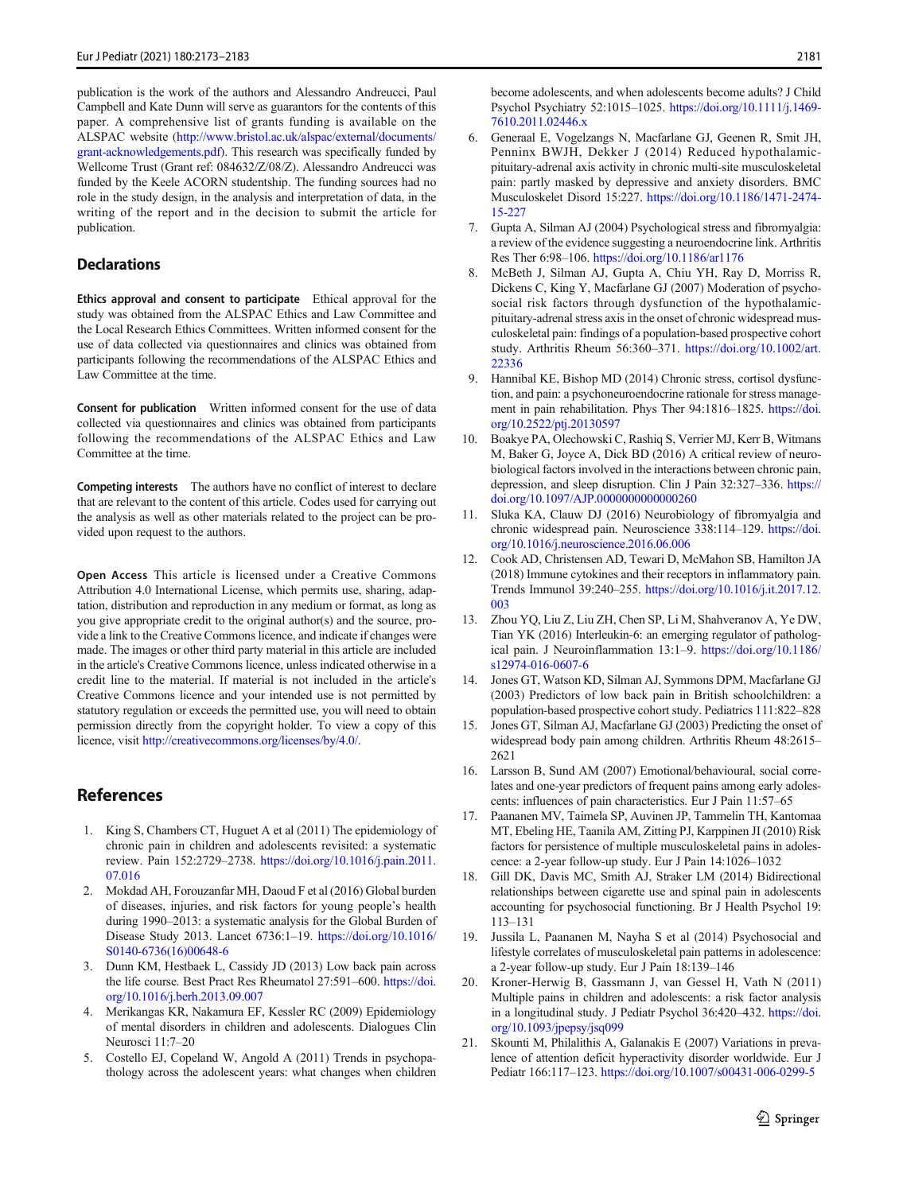<span id="page-9-0"></span>publication is the work of the authors and Alessandro Andreucci, Paul Campbell and Kate Dunn will serve as guarantors for the contents of this paper. A comprehensive list of grants funding is available on the ALSPAC website [\(http://www.bristol.ac.uk/alspac/external/documents/](http://www.bristol.ac.uk/alspac/external/documents/grant-acknowledgements.pdf) [grant-acknowledgements.pdf](http://www.bristol.ac.uk/alspac/external/documents/grant-acknowledgements.pdf)). This research was specifically funded by Wellcome Trust (Grant ref: 084632/Z/08/Z). Alessandro Andreucci was funded by the Keele ACORN studentship. The funding sources had no role in the study design, in the analysis and interpretation of data, in the writing of the report and in the decision to submit the article for publication.

### **Declarations**

Ethics approval and consent to participate Ethical approval for the study was obtained from the ALSPAC Ethics and Law Committee and the Local Research Ethics Committees. Written informed consent for the use of data collected via questionnaires and clinics was obtained from participants following the recommendations of the ALSPAC Ethics and Law Committee at the time.

Consent for publication Written informed consent for the use of data collected via questionnaires and clinics was obtained from participants following the recommendations of the ALSPAC Ethics and Law Committee at the time.

Competing interests The authors have no conflict of interest to declare that are relevant to the content of this article. Codes used for carrying out the analysis as well as other materials related to the project can be provided upon request to the authors.

Open Access This article is licensed under a Creative Commons Attribution 4.0 International License, which permits use, sharing, adaptation, distribution and reproduction in any medium or format, as long as you give appropriate credit to the original author(s) and the source, provide a link to the Creative Commons licence, and indicate if changes were made. The images or other third party material in this article are included in the article's Creative Commons licence, unless indicated otherwise in a credit line to the material. If material is not included in the article's Creative Commons licence and your intended use is not permitted by statutory regulation or exceeds the permitted use, you will need to obtain permission directly from the copyright holder. To view a copy of this licence, visit <http://creativecommons.org/licenses/by/4.0/>.

# References

- 1. King S, Chambers CT, Huguet A et al (2011) The epidemiology of chronic pain in children and adolescents revisited: a systematic review. Pain 152:2729–2738. [https://doi.org/10.1016/j.pain.2011.](https://doi.org/10.1016/j.pain.2011.07.016) [07.016](https://doi.org/10.1016/j.pain.2011.07.016)
- 2. Mokdad AH, Forouzanfar MH, Daoud F et al (2016) Global burden of diseases, injuries, and risk factors for young people's health during 1990–2013: a systematic analysis for the Global Burden of Disease Study 2013. Lancet 6736:1–19. [https://doi.org/10.1016/](https://doi.org/10.1016/S0140-6736(16)00648-6) [S0140-6736\(16\)00648-6](https://doi.org/10.1016/S0140-6736(16)00648-6)
- 3. Dunn KM, Hestbaek L, Cassidy JD (2013) Low back pain across the life course. Best Pract Res Rheumatol 27:591–600. [https://doi.](https://doi.org/10.1016/j.berh.2013.09.007) [org/10.1016/j.berh.2013.09.007](https://doi.org/10.1016/j.berh.2013.09.007)
- 4. Merikangas KR, Nakamura EF, Kessler RC (2009) Epidemiology of mental disorders in children and adolescents. Dialogues Clin Neurosci 11:7–20
- Costello EJ, Copeland W, Angold A (2011) Trends in psychopathology across the adolescent years: what changes when children

become adolescents, and when adolescents become adults? J Child Psychol Psychiatry 52:1015–1025. [https://doi.org/10.1111/j.1469-](https://doi.org/10.1111/j.1469-7610.2011.02446.x) [7610.2011.02446.x](https://doi.org/10.1111/j.1469-7610.2011.02446.x)

- 6. Generaal E, Vogelzangs N, Macfarlane GJ, Geenen R, Smit JH, Penninx BWJH, Dekker J (2014) Reduced hypothalamicpituitary-adrenal axis activity in chronic multi-site musculoskeletal pain: partly masked by depressive and anxiety disorders. BMC Musculoskelet Disord 15:227. [https://doi.org/10.1186/1471-2474-](https://doi.org/10.1186/1471-2474-15-227) [15-227](https://doi.org/10.1186/1471-2474-15-227)
- 7. Gupta A, Silman AJ (2004) Psychological stress and fibromyalgia: a review of the evidence suggesting a neuroendocrine link. Arthritis Res Ther 6:98–106. <https://doi.org/10.1186/ar1176>
- 8. McBeth J, Silman AJ, Gupta A, Chiu YH, Ray D, Morriss R, Dickens C, King Y, Macfarlane GJ (2007) Moderation of psychosocial risk factors through dysfunction of the hypothalamicpituitary-adrenal stress axis in the onset of chronic widespread musculoskeletal pain: findings of a population-based prospective cohort study. Arthritis Rheum 56:360–371. [https://doi.org/10.1002/art.](https://doi.org/10.1002/art.22336) [22336](https://doi.org/10.1002/art.22336)
- 9. Hannibal KE, Bishop MD (2014) Chronic stress, cortisol dysfunction, and pain: a psychoneuroendocrine rationale for stress management in pain rehabilitation. Phys Ther 94:1816–1825. [https://doi.](https://doi.org/10.2522/ptj.20130597) [org/10.2522/ptj.20130597](https://doi.org/10.2522/ptj.20130597)
- 10. Boakye PA, Olechowski C, Rashiq S, Verrier MJ, Kerr B, Witmans M, Baker G, Joyce A, Dick BD (2016) A critical review of neurobiological factors involved in the interactions between chronic pain, depression, and sleep disruption. Clin J Pain 32:327–336. [https://](https://doi.org/10.1097/AJP.0000000000000260) [doi.org/10.1097/AJP.0000000000000260](https://doi.org/10.1097/AJP.0000000000000260)
- 11. Sluka KA, Clauw DJ (2016) Neurobiology of fibromyalgia and chronic widespread pain. Neuroscience 338:114–129. [https://doi.](https://doi.org/10.1016/j.neuroscience.2016.06.006) [org/10.1016/j.neuroscience.2016.06.006](https://doi.org/10.1016/j.neuroscience.2016.06.006)
- 12. Cook AD, Christensen AD, Tewari D, McMahon SB, Hamilton JA (2018) Immune cytokines and their receptors in inflammatory pain. Trends Immunol 39:240–255. [https://doi.org/10.1016/j.it.2017.12.](https://doi.org/10.1016/j.it.2017.12.003) [003](https://doi.org/10.1016/j.it.2017.12.003)
- 13. Zhou YQ, Liu Z, Liu ZH, Chen SP, Li M, Shahveranov A, Ye DW, Tian YK (2016) Interleukin-6: an emerging regulator of pathological pain. J Neuroinflammation 13:1–9. [https://doi.org/10.1186/](https://doi.org/10.1186/s12974-016-0607-6) [s12974-016-0607-6](https://doi.org/10.1186/s12974-016-0607-6)
- 14. Jones GT, Watson KD, Silman AJ, Symmons DPM, Macfarlane GJ (2003) Predictors of low back pain in British schoolchildren: a population-based prospective cohort study. Pediatrics 111:822–828
- 15. Jones GT, Silman AJ, Macfarlane GJ (2003) Predicting the onset of widespread body pain among children. Arthritis Rheum 48:2615– 2621
- 16. Larsson B, Sund AM (2007) Emotional/behavioural, social correlates and one-year predictors of frequent pains among early adolescents: influences of pain characteristics. Eur J Pain 11:57–65
- 17. Paananen MV, Taimela SP, Auvinen JP, Tammelin TH, Kantomaa MT, Ebeling HE, Taanila AM, Zitting PJ, Karppinen JI (2010) Risk factors for persistence of multiple musculoskeletal pains in adolescence: a 2-year follow-up study. Eur J Pain 14:1026–1032
- 18. Gill DK, Davis MC, Smith AJ, Straker LM (2014) Bidirectional relationships between cigarette use and spinal pain in adolescents accounting for psychosocial functioning. Br J Health Psychol 19: 113–131
- 19. Jussila L, Paananen M, Nayha S et al (2014) Psychosocial and lifestyle correlates of musculoskeletal pain patterns in adolescence: a 2-year follow-up study. Eur J Pain 18:139–146
- 20. Kroner-Herwig B, Gassmann J, van Gessel H, Vath N (2011) Multiple pains in children and adolescents: a risk factor analysis in a longitudinal study. J Pediatr Psychol 36:420–432. [https://doi.](https://doi.org/10.1093/jpepsy/jsq099) [org/10.1093/jpepsy/jsq099](https://doi.org/10.1093/jpepsy/jsq099)
- 21. Skounti M, Philalithis A, Galanakis E (2007) Variations in prevalence of attention deficit hyperactivity disorder worldwide. Eur J Pediatr 166:117–123. <https://doi.org/10.1007/s00431-006-0299-5>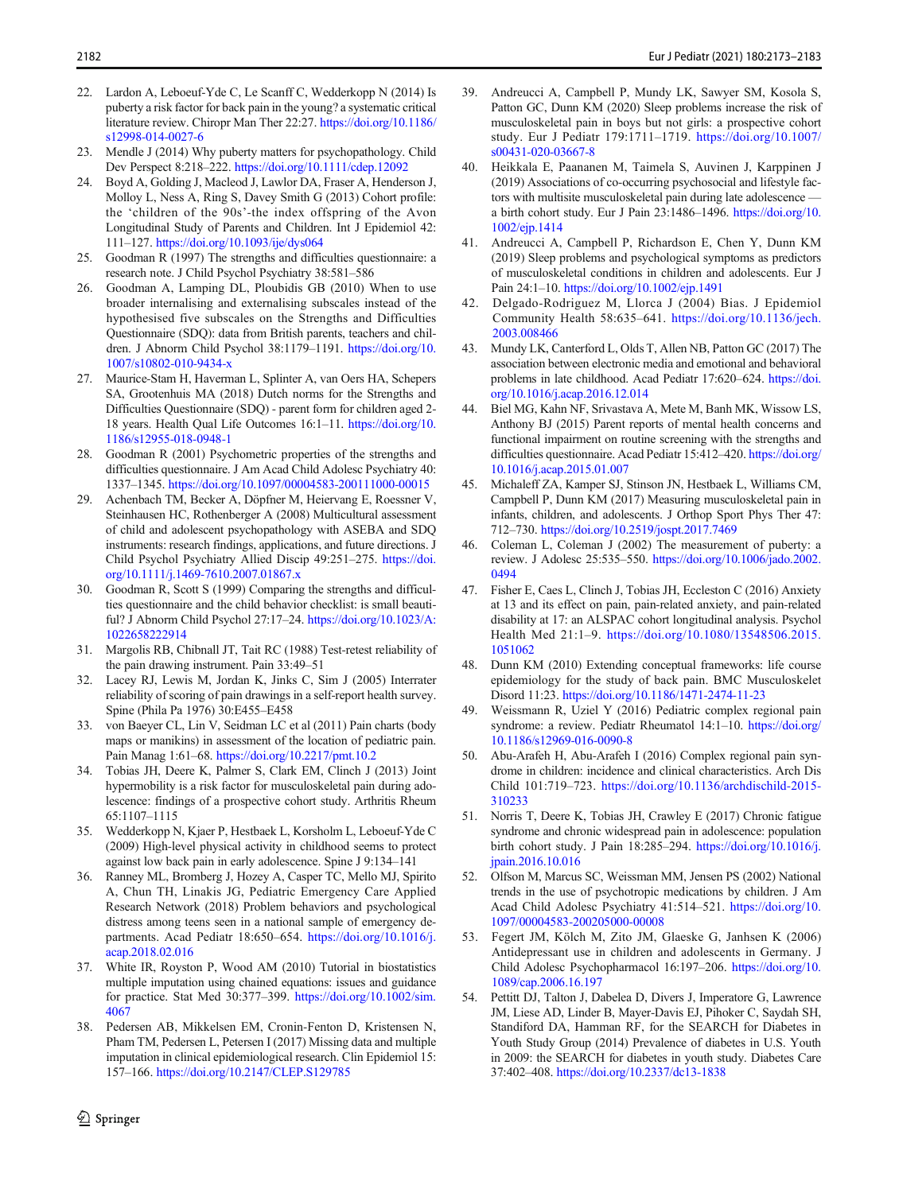- <span id="page-10-0"></span>22. Lardon A, Leboeuf-Yde C, Le Scanff C, Wedderkopp N (2014) Is puberty a risk factor for back pain in the young? a systematic critical literature review. Chiropr Man Ther 22:27. [https://doi.org/10.1186/](https://doi.org/10.1186/s12998-014-0027-6) [s12998-014-0027-6](https://doi.org/10.1186/s12998-014-0027-6)
- 23. Mendle J (2014) Why puberty matters for psychopathology. Child Dev Perspect 8:218–222. <https://doi.org/10.1111/cdep.12092>
- 24. Boyd A, Golding J, Macleod J, Lawlor DA, Fraser A, Henderson J, Molloy L, Ness A, Ring S, Davey Smith G (2013) Cohort profile: the 'children of the 90s'-the index offspring of the Avon Longitudinal Study of Parents and Children. Int J Epidemiol 42: 111–127. <https://doi.org/10.1093/ije/dys064>
- 25. Goodman R (1997) The strengths and difficulties questionnaire: a research note. J Child Psychol Psychiatry 38:581–586
- 26. Goodman A, Lamping DL, Ploubidis GB (2010) When to use broader internalising and externalising subscales instead of the hypothesised five subscales on the Strengths and Difficulties Questionnaire (SDQ): data from British parents, teachers and children. J Abnorm Child Psychol 38:1179–1191. [https://doi.org/10.](https://doi.org/10.1007/s10802-010-9434-x) [1007/s10802-010-9434-x](https://doi.org/10.1007/s10802-010-9434-x)
- 27. Maurice-Stam H, Haverman L, Splinter A, van Oers HA, Schepers SA, Grootenhuis MA (2018) Dutch norms for the Strengths and Difficulties Questionnaire (SDQ) - parent form for children aged 2- 18 years. Health Qual Life Outcomes 16:1–11. [https://doi.org/10.](https://doi.org/10.1186/s12955-018-0948-1) [1186/s12955-018-0948-1](https://doi.org/10.1186/s12955-018-0948-1)
- 28. Goodman R (2001) Psychometric properties of the strengths and difficulties questionnaire. J Am Acad Child Adolesc Psychiatry 40: 1337–1345. <https://doi.org/10.1097/00004583-200111000-00015>
- 29. Achenbach TM, Becker A, Döpfner M, Heiervang E, Roessner V, Steinhausen HC, Rothenberger A (2008) Multicultural assessment of child and adolescent psychopathology with ASEBA and SDQ instruments: research findings, applications, and future directions. J Child Psychol Psychiatry Allied Discip 49:251–275. [https://doi.](https://doi.org/10.1111/j.1469-7610.2007.01867.x) [org/10.1111/j.1469-7610.2007.01867.x](https://doi.org/10.1111/j.1469-7610.2007.01867.x)
- 30. Goodman R, Scott S (1999) Comparing the strengths and difficulties questionnaire and the child behavior checklist: is small beautiful? J Abnorm Child Psychol 27:17–24. [https://doi.org/10.1023/A:](https://doi.org/10.1023/A:1022658222914) [1022658222914](https://doi.org/10.1023/A:1022658222914)
- 31. Margolis RB, Chibnall JT, Tait RC (1988) Test-retest reliability of the pain drawing instrument. Pain 33:49–51
- 32. Lacey RJ, Lewis M, Jordan K, Jinks C, Sim J (2005) Interrater reliability of scoring of pain drawings in a self-report health survey. Spine (Phila Pa 1976) 30:E455–E458
- 33. von Baeyer CL, Lin V, Seidman LC et al (2011) Pain charts (body maps or manikins) in assessment of the location of pediatric pain. Pain Manag 1:61–68. <https://doi.org/10.2217/pmt.10.2>
- 34. Tobias JH, Deere K, Palmer S, Clark EM, Clinch J (2013) Joint hypermobility is a risk factor for musculoskeletal pain during adolescence: findings of a prospective cohort study. Arthritis Rheum 65:1107–1115
- 35. Wedderkopp N, Kjaer P, Hestbaek L, Korsholm L, Leboeuf-Yde C (2009) High-level physical activity in childhood seems to protect against low back pain in early adolescence. Spine J 9:134–141
- 36. Ranney ML, Bromberg J, Hozey A, Casper TC, Mello MJ, Spirito A, Chun TH, Linakis JG, Pediatric Emergency Care Applied Research Network (2018) Problem behaviors and psychological distress among teens seen in a national sample of emergency departments. Acad Pediatr 18:650–654. [https://doi.org/10.1016/j.](https://doi.org/10.1016/j.acap.2018.02.016) [acap.2018.02.016](https://doi.org/10.1016/j.acap.2018.02.016)
- 37. White IR, Royston P, Wood AM (2010) Tutorial in biostatistics multiple imputation using chained equations: issues and guidance for practice. Stat Med 30:377–399. [https://doi.org/10.1002/sim.](https://doi.org/10.1002/sim.4067) [4067](https://doi.org/10.1002/sim.4067)
- 38. Pedersen AB, Mikkelsen EM, Cronin-Fenton D, Kristensen N, Pham TM, Pedersen L, Petersen I (2017) Missing data and multiple imputation in clinical epidemiological research. Clin Epidemiol 15: 157–166. <https://doi.org/10.2147/CLEP.S129785>
- 39. Andreucci A, Campbell P, Mundy LK, Sawyer SM, Kosola S, Patton GC, Dunn KM (2020) Sleep problems increase the risk of musculoskeletal pain in boys but not girls: a prospective cohort study. Eur J Pediatr 179:1711–1719. [https://doi.org/10.1007/](https://doi.org/10.1007/s00431-020-03667-8) [s00431-020-03667-8](https://doi.org/10.1007/s00431-020-03667-8)
- 40. Heikkala E, Paananen M, Taimela S, Auvinen J, Karppinen J (2019) Associations of co-occurring psychosocial and lifestyle factors with multisite musculoskeletal pain during late adolescence a birth cohort study. Eur J Pain 23:1486–1496. [https://doi.org/10.](https://doi.org/10.1002/ejp.1414) [1002/ejp.1414](https://doi.org/10.1002/ejp.1414)
- 41. Andreucci A, Campbell P, Richardson E, Chen Y, Dunn KM (2019) Sleep problems and psychological symptoms as predictors of musculoskeletal conditions in children and adolescents. Eur J Pain 24:1–10. <https://doi.org/10.1002/ejp.1491>
- 42. Delgado-Rodriguez M, Llorca J (2004) Bias. J Epidemiol Community Health 58:635–641. [https://doi.org/10.1136/jech.](https://doi.org/10.1136/jech.2003.008466) [2003.008466](https://doi.org/10.1136/jech.2003.008466)
- 43. Mundy LK, Canterford L, Olds T, Allen NB, Patton GC (2017) The association between electronic media and emotional and behavioral problems in late childhood. Acad Pediatr 17:620–624. [https://doi.](https://doi.org/10.1016/j.acap.2016.12.014) [org/10.1016/j.acap.2016.12.014](https://doi.org/10.1016/j.acap.2016.12.014)
- Biel MG, Kahn NF, Srivastava A, Mete M, Banh MK, Wissow LS, Anthony BJ (2015) Parent reports of mental health concerns and functional impairment on routine screening with the strengths and difficulties questionnaire. Acad Pediatr 15:412–420. [https://doi.org/](https://doi.org/10.1016/j.acap.2015.01.007) [10.1016/j.acap.2015.01.007](https://doi.org/10.1016/j.acap.2015.01.007)
- 45. Michaleff ZA, Kamper SJ, Stinson JN, Hestbaek L, Williams CM, Campbell P, Dunn KM (2017) Measuring musculoskeletal pain in infants, children, and adolescents. J Orthop Sport Phys Ther 47: 712–730. <https://doi.org/10.2519/jospt.2017.7469>
- 46. Coleman L, Coleman J (2002) The measurement of puberty: a review. J Adolesc 25:535–550. [https://doi.org/10.1006/jado.2002.](https://doi.org/10.1006/jado.2002.0494) [0494](https://doi.org/10.1006/jado.2002.0494)
- 47. Fisher E, Caes L, Clinch J, Tobias JH, Eccleston C (2016) Anxiety at 13 and its effect on pain, pain-related anxiety, and pain-related disability at 17: an ALSPAC cohort longitudinal analysis. Psychol Health Med 21:1–9. [https://doi.org/10.1080/13548506.2015.](https://doi.org/10.1080/13548506.2015.1051062) [1051062](https://doi.org/10.1080/13548506.2015.1051062)
- 48. Dunn KM (2010) Extending conceptual frameworks: life course epidemiology for the study of back pain. BMC Musculoskelet Disord 11:23. <https://doi.org/10.1186/1471-2474-11-23>
- 49. Weissmann R, Uziel Y (2016) Pediatric complex regional pain syndrome: a review. Pediatr Rheumatol 14:1–10. [https://doi.org/](https://doi.org/10.1186/s12969-016-0090-8) [10.1186/s12969-016-0090-8](https://doi.org/10.1186/s12969-016-0090-8)
- 50. Abu-Arafeh H, Abu-Arafeh I (2016) Complex regional pain syndrome in children: incidence and clinical characteristics. Arch Dis Child 101:719–723. [https://doi.org/10.1136/archdischild-2015-](https://doi.org/10.1136/archdischild-2015-310233) [310233](https://doi.org/10.1136/archdischild-2015-310233)
- 51. Norris T, Deere K, Tobias JH, Crawley E (2017) Chronic fatigue syndrome and chronic widespread pain in adolescence: population birth cohort study. J Pain 18:285–294. [https://doi.org/10.1016/j.](https://doi.org/10.1016/j.jpain.2016.10.016) [jpain.2016.10.016](https://doi.org/10.1016/j.jpain.2016.10.016)
- 52. Olfson M, Marcus SC, Weissman MM, Jensen PS (2002) National trends in the use of psychotropic medications by children. J Am Acad Child Adolesc Psychiatry 41:514–521. [https://doi.org/10.](https://doi.org/10.1097/00004583-200205000-00008) [1097/00004583-200205000-00008](https://doi.org/10.1097/00004583-200205000-00008)
- 53. Fegert JM, Kölch M, Zito JM, Glaeske G, Janhsen K (2006) Antidepressant use in children and adolescents in Germany. J Child Adolesc Psychopharmacol 16:197–206. [https://doi.org/10.](https://doi.org/10.1089/cap.2006.16.197) [1089/cap.2006.16.197](https://doi.org/10.1089/cap.2006.16.197)
- 54. Pettitt DJ, Talton J, Dabelea D, Divers J, Imperatore G, Lawrence JM, Liese AD, Linder B, Mayer-Davis EJ, Pihoker C, Saydah SH, Standiford DA, Hamman RF, for the SEARCH for Diabetes in Youth Study Group (2014) Prevalence of diabetes in U.S. Youth in 2009: the SEARCH for diabetes in youth study. Diabetes Care 37:402–408. <https://doi.org/10.2337/dc13-1838>